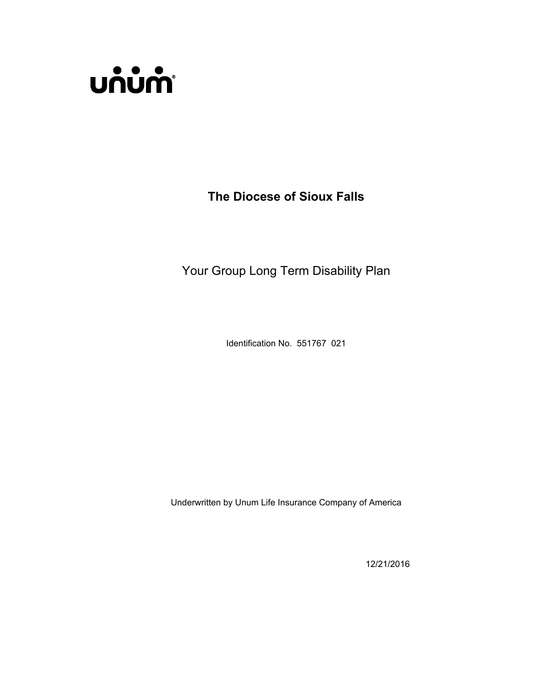

**The Diocese of Sioux Falls**

Your Group Long Term Disability Plan

Identification No. 551767 021

Underwritten by Unum Life Insurance Company of America

12/21/2016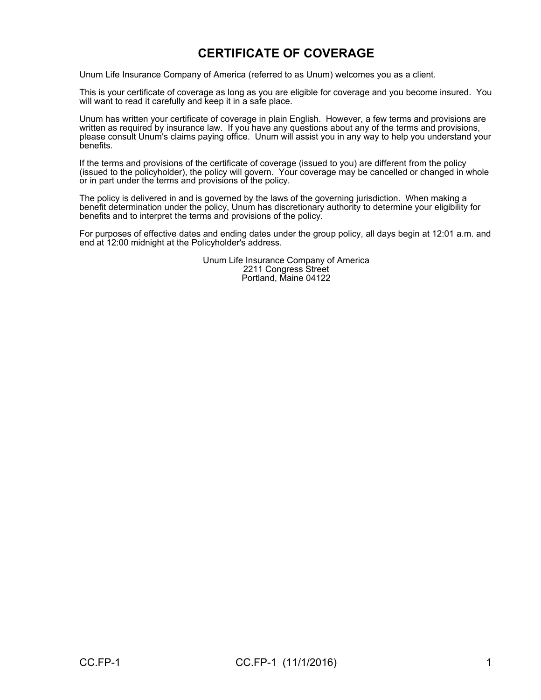## **CERTIFICATE OF COVERAGE**

Unum Life Insurance Company of America (referred to as Unum) welcomes you as a client.

This is your certificate of coverage as long as you are eligible for coverage and you become insured. You will want to read it carefully and keep it in a safe place.

Unum has written your certificate of coverage in plain English. However, a few terms and provisions are written as required by insurance law. If you have any questions about any of the terms and provisions, please consult Unum's claims paying office. Unum will assist you in any way to help you understand your benefits.

If the terms and provisions of the certificate of coverage (issued to you) are different from the policy (issued to the policyholder), the policy will govern. Your coverage may be cancelled or changed in whole or in part under the terms and provisions of the policy.

The policy is delivered in and is governed by the laws of the governing jurisdiction. When making a benefit determination under the policy, Unum has discretionary authority to determine your eligibility for benefits and to interpret the terms and provisions of the policy.

For purposes of effective dates and ending dates under the group policy, all days begin at 12:01 a.m. and end at 12:00 midnight at the Policyholder's address.

> Unum Life Insurance Company of America 2211 Congress Street Portland, Maine 04122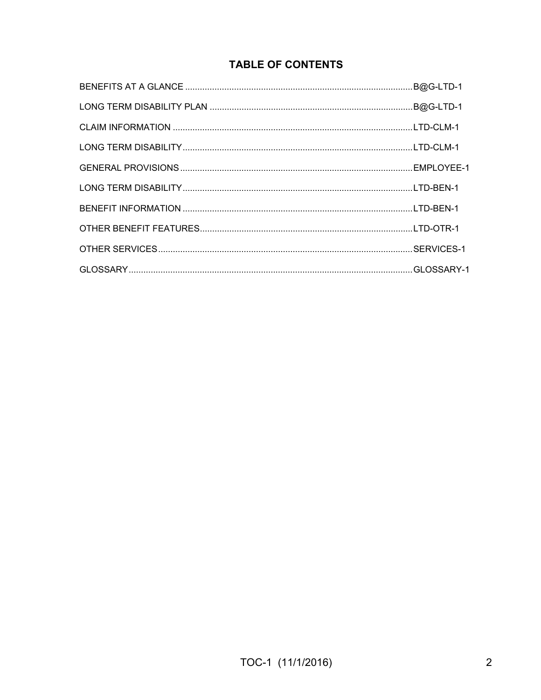## **TABLE OF CONTENTS**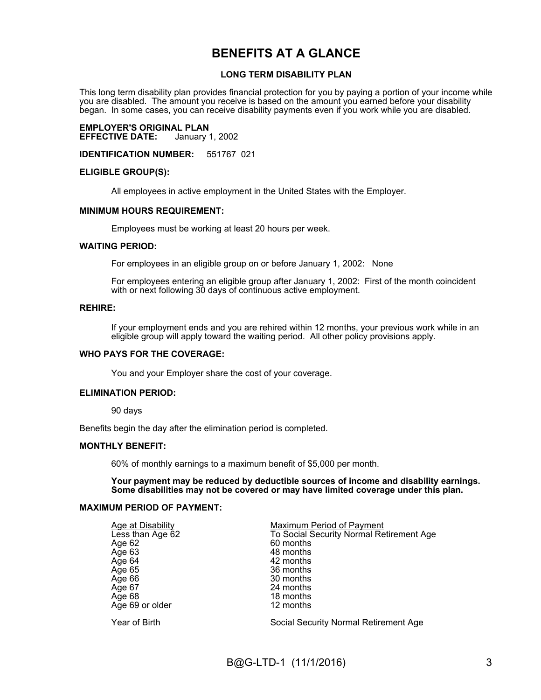## **BENEFITS AT A GLANCE**

#### **LONG TERM DISABILITY PLAN**

This long term disability plan provides financial protection for you by paying a portion of your income while you are disabled. The amount you receive is based on the amount you earned before your disability began. In some cases, you can receive disability payments even if you work while you are disabled.

# **EMPLOYER'S ORIGINAL PLAN**

**EFFECTIVE DATE:** 

**IDENTIFICATION NUMBER:** 551767 021

#### **ELIGIBLE GROUP(S):**

All employees in active employment in the United States with the Employer.

#### **MINIMUM HOURS REQUIREMENT:**

Employees must be working at least 20 hours per week.

#### **WAITING PERIOD:**

For employees in an eligible group on or before January 1, 2002: None

For employees entering an eligible group after January 1, 2002: First of the month coincident with or next following 30 days of continuous active employment.

#### **REHIRE:**

If your employment ends and you are rehired within 12 months, your previous work while in an eligible group will apply toward the waiting period. All other policy provisions apply.

#### **WHO PAYS FOR THE COVERAGE:**

You and your Employer share the cost of your coverage.

#### **ELIMINATION PERIOD:**

90 days

Benefits begin the day after the elimination period is completed.

#### **MONTHLY BENEFIT:**

60% of monthly earnings to a maximum benefit of \$5,000 per month.

**Your payment may be reduced by deductible sources of income and disability earnings. Some disabilities may not be covered or may have limited coverage under this plan.**

#### **MAXIMUM PERIOD OF PAYMENT:**

| Age at Disability | <b>Maximum Period of Payment</b>             |
|-------------------|----------------------------------------------|
| Less than Age 62  | To Social Security Normal Retirement Age     |
| Age 62            | 60 months                                    |
| Age 63            | 48 months                                    |
| Age 64            | 42 months                                    |
| Age 65            | 36 months                                    |
| Age 66            | 30 months                                    |
| Age 67            | 24 months                                    |
| Age 68            | 18 months                                    |
| Age 69 or older   | 12 months                                    |
| Year of Birth     | <b>Social Security Normal Retirement Age</b> |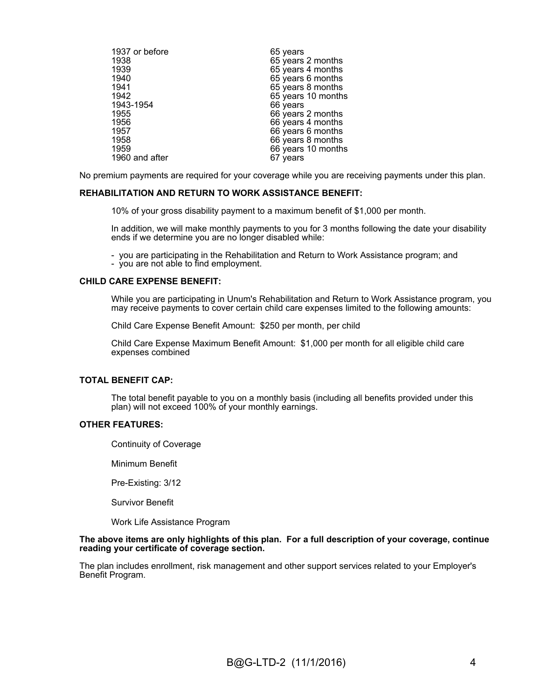| 1937 or before | 65 years           |
|----------------|--------------------|
| 1938           | 65 years 2 months  |
| 1939           | 65 years 4 months  |
| 1940           | 65 years 6 months  |
| 1941           | 65 years 8 months  |
| 1942           | 65 years 10 months |
| 1943-1954      | 66 years           |
| 1955           | 66 years 2 months  |
| 1956           | 66 years 4 months  |
| 1957           | 66 years 6 months  |
| 1958           | 66 years 8 months  |
| 1959           | 66 years 10 months |
| 1960 and after | 67 years           |

No premium payments are required for your coverage while you are receiving payments under this plan.

#### **REHABILITATION AND RETURN TO WORK ASSISTANCE BENEFIT:**

10% of your gross disability payment to a maximum benefit of \$1,000 per month.

In addition, we will make monthly payments to you for 3 months following the date your disability ends if we determine you are no longer disabled while:

- you are participating in the Rehabilitation and Return to Work Assistance program; and - you are not able to find employment.

#### **CHILD CARE EXPENSE BENEFIT:**

While you are participating in Unum's Rehabilitation and Return to Work Assistance program, you may receive payments to cover certain child care expenses limited to the following amounts:

Child Care Expense Benefit Amount: \$250 per month, per child

Child Care Expense Maximum Benefit Amount: \$1,000 per month for all eligible child care expenses combined

#### **TOTAL BENEFIT CAP:**

The total benefit payable to you on a monthly basis (including all benefits provided under this plan) will not exceed 100% of your monthly earnings.

#### **OTHER FEATURES:**

Continuity of Coverage

Minimum Benefit

Pre-Existing: 3/12

Survivor Benefit

Work Life Assistance Program

#### **The above items are only highlights of this plan. For a full description of your coverage, continue reading your certificate of coverage section.**

The plan includes enrollment, risk management and other support services related to your Employer's Benefit Program.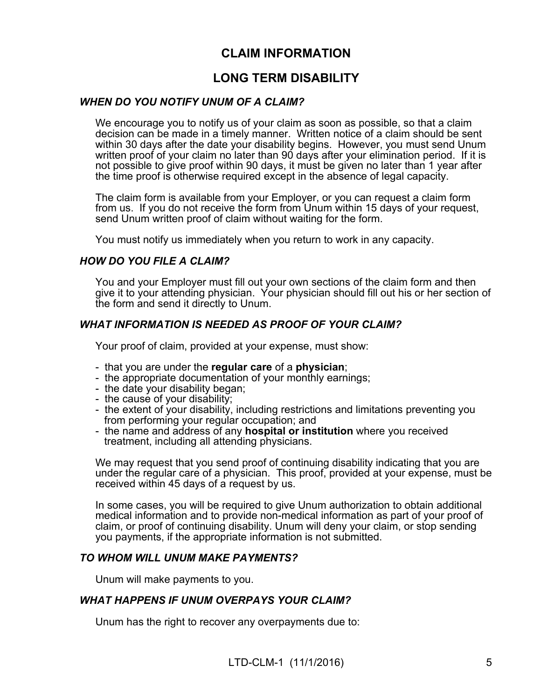## **CLAIM INFORMATION**

## **LONG TERM DISABILITY**

#### *WHEN DO YOU NOTIFY UNUM OF A CLAIM?*

We encourage you to notify us of your claim as soon as possible, so that a claim decision can be made in a timely manner. Written notice of a claim should be sent within 30 days after the date your disability begins. However, you must send Unum written proof of your claim no later than 90 days after your elimination period. If it is not possible to give proof within 90 days, it must be given no later than 1 year after the time proof is otherwise required except in the absence of legal capacity.

The claim form is available from your Employer, or you can request a claim form from us. If you do not receive the form from Unum within 15 days of your request, send Unum written proof of claim without waiting for the form.

You must notify us immediately when you return to work in any capacity.

#### *HOW DO YOU FILE A CLAIM?*

You and your Employer must fill out your own sections of the claim form and then give it to your attending physician. Your physician should fill out his or her section of the form and send it directly to Unum.

#### *WHAT INFORMATION IS NEEDED AS PROOF OF YOUR CLAIM?*

Your proof of claim, provided at your expense, must show:

- that you are under the **regular care** of a **physician**;
- the appropriate documentation of your monthly earnings;
- the date your disability began;
- the cause of your disability;
- the extent of your disability, including restrictions and limitations preventing you from performing your regular occupation; and
- the name and address of any **hospital or institution** where you received treatment, including all attending physicians.

We may request that you send proof of continuing disability indicating that you are under the regular care of a physician. This proof, provided at your expense, must be received within 45 days of a request by us.

In some cases, you will be required to give Unum authorization to obtain additional medical information and to provide non-medical information as part of your proof of claim, or proof of continuing disability. Unum will deny your claim, or stop sending you payments, if the appropriate information is not submitted.

#### *TO WHOM WILL UNUM MAKE PAYMENTS?*

Unum will make payments to you.

#### *WHAT HAPPENS IF UNUM OVERPAYS YOUR CLAIM?*

Unum has the right to recover any overpayments due to: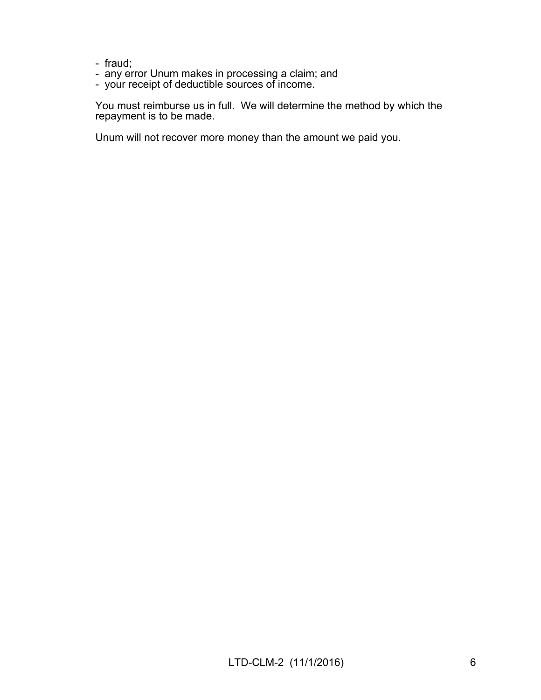- fraud;
- any error Unum makes in processing a claim; and
- your receipt of deductible sources of income.

You must reimburse us in full. We will determine the method by which the repayment is to be made.

Unum will not recover more money than the amount we paid you.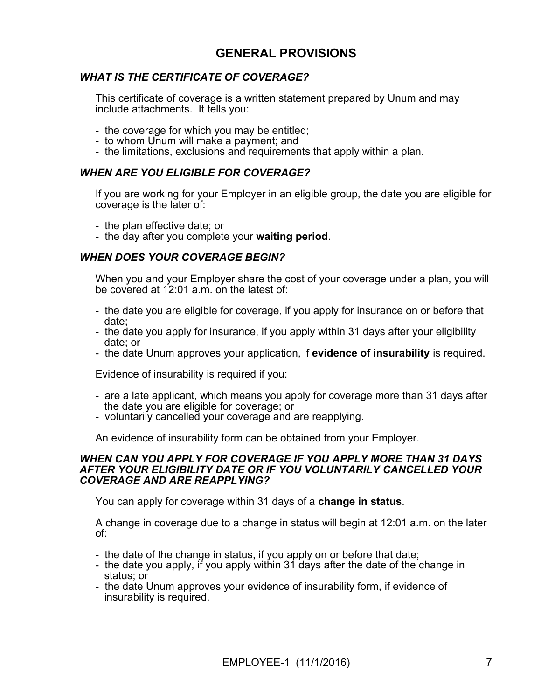## **GENERAL PROVISIONS**

### *WHAT IS THE CERTIFICATE OF COVERAGE?*

This certificate of coverage is a written statement prepared by Unum and may include attachments. It tells you:

- the coverage for which you may be entitled;
- to whom Unum will make a payment; and
- the limitations, exclusions and requirements that apply within a plan.

#### *WHEN ARE YOU ELIGIBLE FOR COVERAGE?*

If you are working for your Employer in an eligible group, the date you are eligible for coverage is the later of:

- the plan effective date; or
- the day after you complete your **waiting period**.

#### *WHEN DOES YOUR COVERAGE BEGIN?*

When you and your Employer share the cost of your coverage under a plan, you will be covered at 12:01 a.m. on the latest of:

- the date you are eligible for coverage, if you apply for insurance on or before that date;
- the date you apply for insurance, if you apply within 31 days after your eligibility date; or
- the date Unum approves your application, if **evidence of insurability** is required.

Evidence of insurability is required if you:

- are a late applicant, which means you apply for coverage more than 31 days after the date you are eligible for coverage; or
- voluntarily cancelled your coverage and are reapplying.

An evidence of insurability form can be obtained from your Employer.

#### *WHEN CAN YOU APPLY FOR COVERAGE IF YOU APPLY MORE THAN 31 DAYS AFTER YOUR ELIGIBILITY DATE OR IF YOU VOLUNTARILY CANCELLED YOUR COVERAGE AND ARE REAPPLYING?*

You can apply for coverage within 31 days of a **change in status**.

A change in coverage due to a change in status will begin at 12:01 a.m. on the later of:

- the date of the change in status, if you apply on or before that date;
- the date you apply, if you apply within 31 days after the date of the change in status; or
- the date Unum approves your evidence of insurability form, if evidence of insurability is required.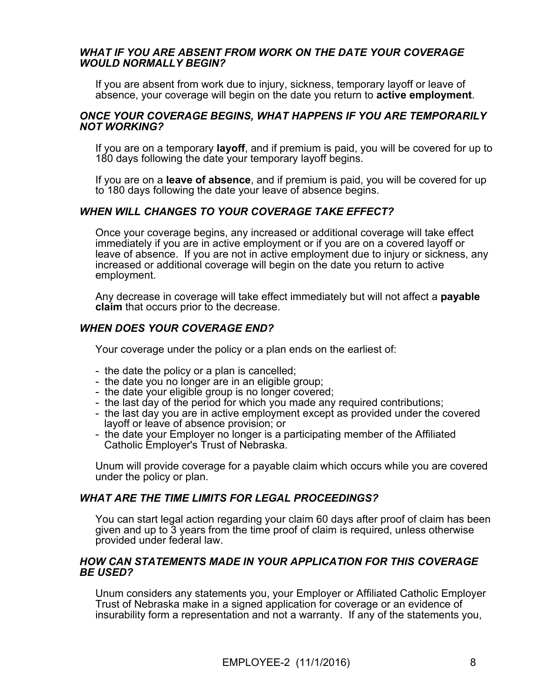#### *WHAT IF YOU ARE ABSENT FROM WORK ON THE DATE YOUR COVERAGE WOULD NORMALLY BEGIN?*

If you are absent from work due to injury, sickness, temporary layoff or leave of absence, your coverage will begin on the date you return to **active employment**.

#### *ONCE YOUR COVERAGE BEGINS, WHAT HAPPENS IF YOU ARE TEMPORARILY NOT WORKING?*

If you are on a temporary **layoff**, and if premium is paid, you will be covered for up to 180 days following the date your temporary layoff begins.

If you are on a **leave of absence**, and if premium is paid, you will be covered for up to 180 days following the date your leave of absence begins.

#### *WHEN WILL CHANGES TO YOUR COVERAGE TAKE EFFECT?*

Once your coverage begins, any increased or additional coverage will take effect immediately if you are in active employment or if you are on a covered layoff or leave of absence. If you are not in active employment due to injury or sickness, any increased or additional coverage will begin on the date you return to active employment.

Any decrease in coverage will take effect immediately but will not affect a **payable claim** that occurs prior to the decrease.

#### *WHEN DOES YOUR COVERAGE END?*

Your coverage under the policy or a plan ends on the earliest of:

- the date the policy or a plan is cancelled;
- the date you no longer are in an eligible group;
- the date your eligible group is no longer covered;
- the last day of the period for which you made any required contributions;
- the last day you are in active employment except as provided under the covered layoff or leave of absence provision; or
- the date your Employer no longer is a participating member of the Affiliated Catholic Employer's Trust of Nebraska.

Unum will provide coverage for a payable claim which occurs while you are covered under the policy or plan.

#### *WHAT ARE THE TIME LIMITS FOR LEGAL PROCEEDINGS?*

You can start legal action regarding your claim 60 days after proof of claim has been given and up to 3 years from the time proof of claim is required, unless otherwise provided under federal law.

#### *HOW CAN STATEMENTS MADE IN YOUR APPLICATION FOR THIS COVERAGE BE USED?*

Unum considers any statements you, your Employer or Affiliated Catholic Employer Trust of Nebraska make in a signed application for coverage or an evidence of insurability form a representation and not a warranty. If any of the statements you,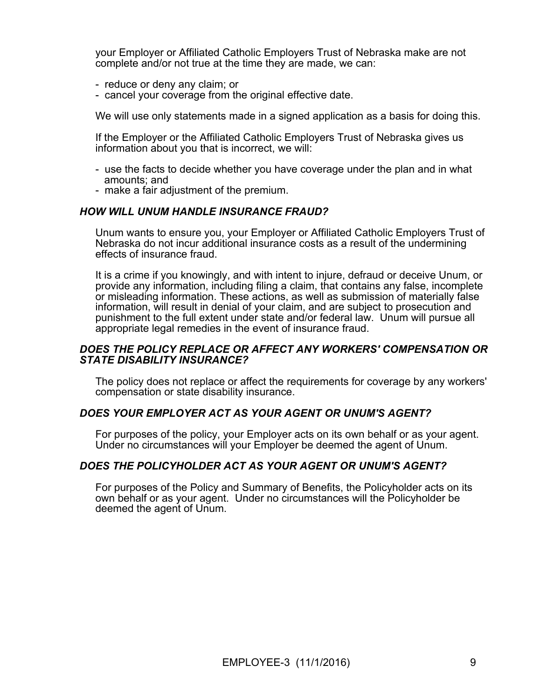your Employer or Affiliated Catholic Employers Trust of Nebraska make are not complete and/or not true at the time they are made, we can:

- reduce or deny any claim; or
- cancel your coverage from the original effective date.

We will use only statements made in a signed application as a basis for doing this.

If the Employer or the Affiliated Catholic Employers Trust of Nebraska gives us information about you that is incorrect, we will:

- use the facts to decide whether you have coverage under the plan and in what amounts; and
- make a fair adjustment of the premium.

#### *HOW WILL UNUM HANDLE INSURANCE FRAUD?*

Unum wants to ensure you, your Employer or Affiliated Catholic Employers Trust of Nebraska do not incur additional insurance costs as a result of the undermining effects of insurance fraud.

It is a crime if you knowingly, and with intent to injure, defraud or deceive Unum, or provide any information, including filing a claim, that contains any false, incomplete or misleading information. These actions, as well as submission of materially false information, will result in denial of your claim, and are subject to prosecution and punishment to the full extent under state and/or federal law. Unum will pursue all appropriate legal remedies in the event of insurance fraud.

#### *DOES THE POLICY REPLACE OR AFFECT ANY WORKERS' COMPENSATION OR STATE DISABILITY INSURANCE?*

The policy does not replace or affect the requirements for coverage by any workers' compensation or state disability insurance.

#### *DOES YOUR EMPLOYER ACT AS YOUR AGENT OR UNUM'S AGENT?*

For purposes of the policy, your Employer acts on its own behalf or as your agent. Under no circumstances will your Employer be deemed the agent of Unum.

#### *DOES THE POLICYHOLDER ACT AS YOUR AGENT OR UNUM'S AGENT?*

For purposes of the Policy and Summary of Benefits, the Policyholder acts on its own behalf or as your agent. Under no circumstances will the Policyholder be deemed the agent of Unum.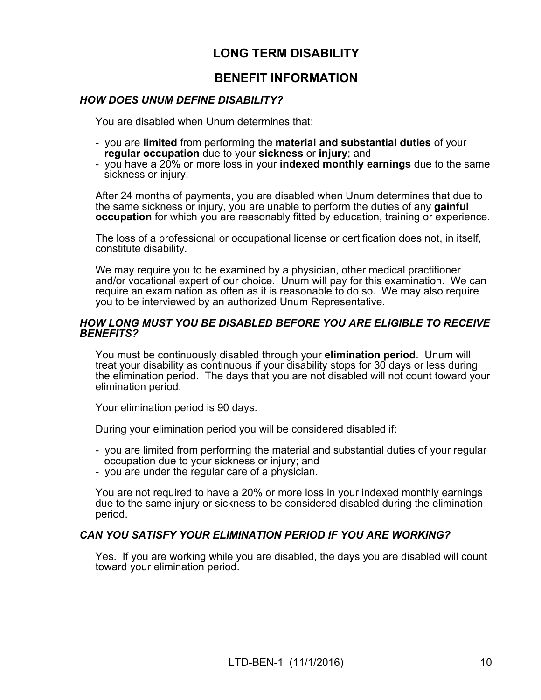## **LONG TERM DISABILITY**

## **BENEFIT INFORMATION**

#### *HOW DOES UNUM DEFINE DISABILITY?*

You are disabled when Unum determines that:

- you are **limited** from performing the **material and substantial duties** of your **regular occupation** due to your **sickness** or **injury**; and
- you have a 20% or more loss in your **indexed monthly earnings** due to the same sickness or injury.

After 24 months of payments, you are disabled when Unum determines that due to the same sickness or injury, you are unable to perform the duties of any **gainful occupation** for which you are reasonably fitted by education, training or experience.

The loss of a professional or occupational license or certification does not, in itself, constitute disability.

We may require you to be examined by a physician, other medical practitioner and/or vocational expert of our choice. Unum will pay for this examination. We can require an examination as often as it is reasonable to do so. We may also require you to be interviewed by an authorized Unum Representative.

#### *HOW LONG MUST YOU BE DISABLED BEFORE YOU ARE ELIGIBLE TO RECEIVE BENEFITS?*

You must be continuously disabled through your **elimination period**. Unum will treat your disability as continuous if your disability stops for 30 days or less during the elimination period. The days that you are not disabled will not count toward your elimination period.

Your elimination period is 90 days.

During your elimination period you will be considered disabled if:

- you are limited from performing the material and substantial duties of your regular occupation due to your sickness or injury; and
- you are under the regular care of a physician.

You are not required to have a 20% or more loss in your indexed monthly earnings due to the same injury or sickness to be considered disabled during the elimination period.

#### *CAN YOU SATISFY YOUR ELIMINATION PERIOD IF YOU ARE WORKING?*

Yes. If you are working while you are disabled, the days you are disabled will count toward your elimination period.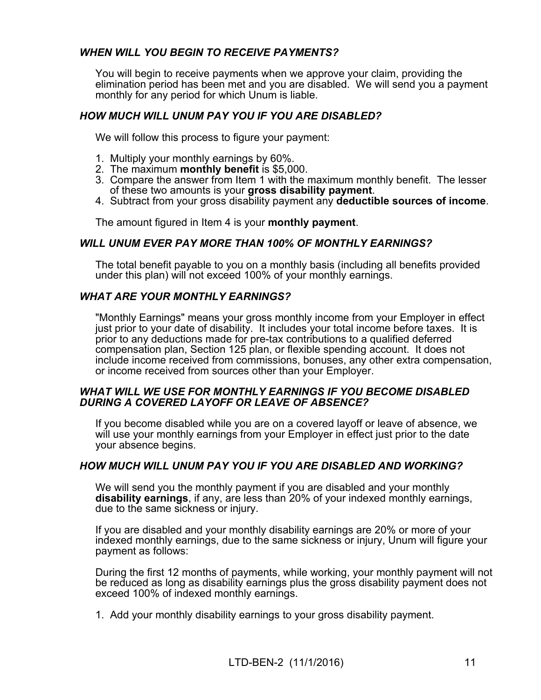### *WHEN WILL YOU BEGIN TO RECEIVE PAYMENTS?*

You will begin to receive payments when we approve your claim, providing the elimination period has been met and you are disabled. We will send you a payment monthly for any period for which Unum is liable.

### *HOW MUCH WILL UNUM PAY YOU IF YOU ARE DISABLED?*

We will follow this process to figure your payment:

- 1. Multiply your monthly earnings by 60%.
- 2. The maximum **monthly benefit** is \$5,000.
- 3. Compare the answer from Item 1 with the maximum monthly benefit. The lesser of these two amounts is your **gross disability payment**.
- 4. Subtract from your gross disability payment any **deductible sources of income**.

The amount figured in Item 4 is your **monthly payment**.

#### *WILL UNUM EVER PAY MORE THAN 100% OF MONTHLY EARNINGS?*

The total benefit payable to you on a monthly basis (including all benefits provided under this plan) will not exceed 100% of your monthly earnings.

#### *WHAT ARE YOUR MONTHLY EARNINGS?*

"Monthly Earnings" means your gross monthly income from your Employer in effect just prior to your date of disability. It includes your total income before taxes. It is prior to any deductions made for pre-tax contributions to a qualified deferred compensation plan, Section 125 plan, or flexible spending account. It does not include income received from commissions, bonuses, any other extra compensation, or income received from sources other than your Employer.

#### *WHAT WILL WE USE FOR MONTHLY EARNINGS IF YOU BECOME DISABLED DURING A COVERED LAYOFF OR LEAVE OF ABSENCE?*

If you become disabled while you are on a covered layoff or leave of absence, we will use your monthly earnings from your Employer in effect just prior to the date your absence begins.

#### *HOW MUCH WILL UNUM PAY YOU IF YOU ARE DISABLED AND WORKING?*

We will send you the monthly payment if you are disabled and your monthly **disability earnings**, if any, are less than 20% of your indexed monthly earnings, due to the same sickness or injury.

If you are disabled and your monthly disability earnings are 20% or more of your indexed monthly earnings, due to the same sickness or injury, Unum will figure your payment as follows:

During the first 12 months of payments, while working, your monthly payment will not be reduced as long as disability earnings plus the gross disability payment does not exceed 100% of indexed monthly earnings.

1. Add your monthly disability earnings to your gross disability payment.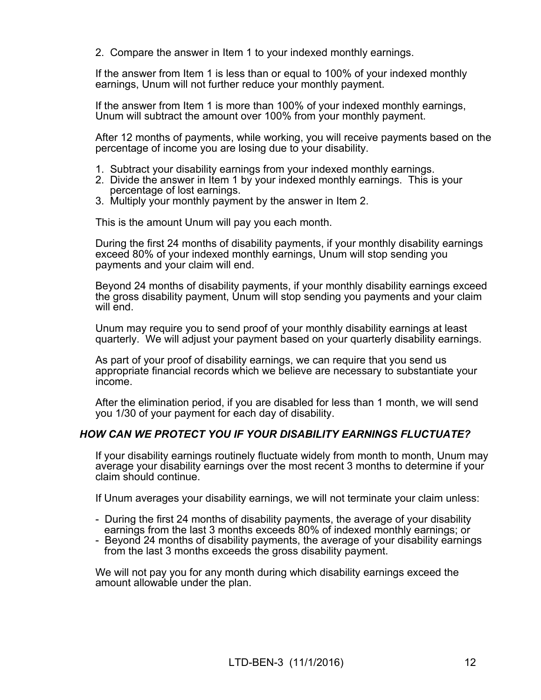2. Compare the answer in Item 1 to your indexed monthly earnings.

If the answer from Item 1 is less than or equal to 100% of your indexed monthly earnings, Unum will not further reduce your monthly payment.

If the answer from Item 1 is more than 100% of your indexed monthly earnings, Unum will subtract the amount over 100% from your monthly payment.

After 12 months of payments, while working, you will receive payments based on the percentage of income you are losing due to your disability.

- 1. Subtract your disability earnings from your indexed monthly earnings.
- 2. Divide the answer in Item 1 by your indexed monthly earnings. This is your percentage of lost earnings.
- 3. Multiply your monthly payment by the answer in Item 2.

This is the amount Unum will pay you each month.

During the first 24 months of disability payments, if your monthly disability earnings exceed 80% of your indexed monthly earnings, Unum will stop sending you payments and your claim will end.

Beyond 24 months of disability payments, if your monthly disability earnings exceed the gross disability payment, Unum will stop sending you payments and your claim will end.

Unum may require you to send proof of your monthly disability earnings at least quarterly. We will adjust your payment based on your quarterly disability earnings.

As part of your proof of disability earnings, we can require that you send us appropriate financial records which we believe are necessary to substantiate your income.

After the elimination period, if you are disabled for less than 1 month, we will send you 1/30 of your payment for each day of disability.

### *HOW CAN WE PROTECT YOU IF YOUR DISABILITY EARNINGS FLUCTUATE?*

If your disability earnings routinely fluctuate widely from month to month, Unum may average your disability earnings over the most recent 3 months to determine if your claim should continue.

If Unum averages your disability earnings, we will not terminate your claim unless:

- During the first 24 months of disability payments, the average of your disability earnings from the last 3 months exceeds 80% of indexed monthly earnings; or
- Beyond 24 months of disability payments, the average of your disability earnings from the last 3 months exceeds the gross disability payment.

We will not pay you for any month during which disability earnings exceed the amount allowable under the plan.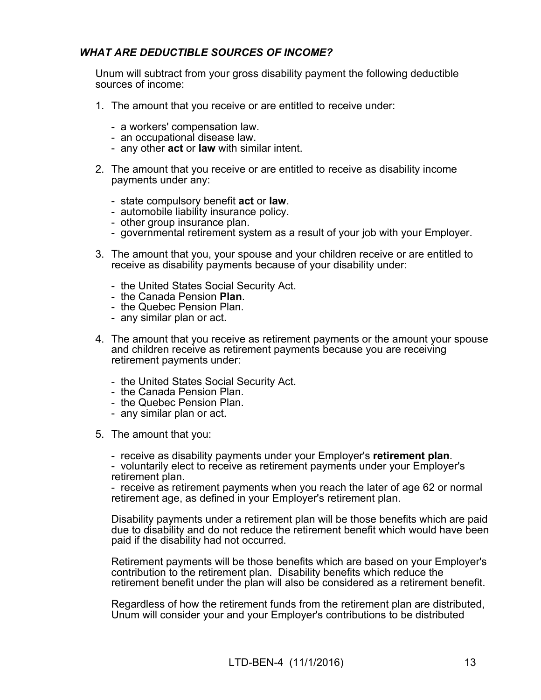## *WHAT ARE DEDUCTIBLE SOURCES OF INCOME?*

Unum will subtract from your gross disability payment the following deductible sources of income:

- <span id="page-14-0"></span>1. The amount that you receive or are entitled to receive under:
	- a workers' compensation law.
	- an occupational disease law.
	- any other **act** or **law** with similar intent.
- <span id="page-14-1"></span>2. The amount that you receive or are entitled to receive as disability income payments under any:
	- state compulsory benefit **act** or **law**.
	- automobile liability insurance policy.
	- other group insurance plan.
	- governmental retirement system as a result of your job with your Employer.
- <span id="page-14-2"></span>3. The amount that you, your spouse and your children receive or are entitled to receive as disability payments because of your disability under:
	- the United States Social Security Act.
	- the Canada Pension **Plan**.
	- the Quebec Pension Plan.
	- any similar plan or act.
- 4. The amount that you receive as retirement payments or the amount your spouse and children receive as retirement payments because you are receiving retirement payments under:
	- the United States Social Security Act.
	- the Canada Pension Plan.
	- the Quebec Pension Plan.
	- any similar plan or act.
- 5. The amount that you:

- receive as disability payments under your Employer's **retirement plan**. - voluntarily elect to receive as retirement payments under your Employer's retirement plan.

- receive as retirement payments when you reach the later of age 62 or normal retirement age, as defined in your Employer's retirement plan.

Disability payments under a retirement plan will be those benefits which are paid due to disability and do not reduce the retirement benefit which would have been paid if the disability had not occurred.

Retirement payments will be those benefits which are based on your Employer's contribution to the retirement plan. Disability benefits which reduce the retirement benefit under the plan will also be considered as a retirement benefit.

Regardless of how the retirement funds from the retirement plan are distributed, Unum will consider your and your Employer's contributions to be distributed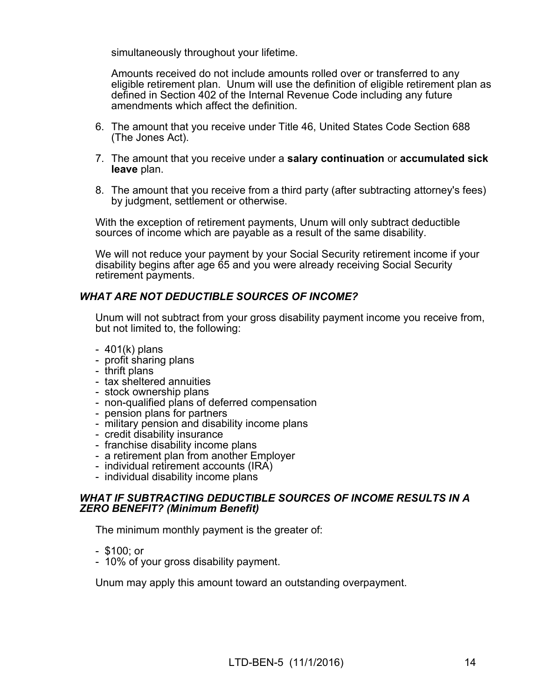simultaneously throughout your lifetime.

Amounts received do not include amounts rolled over or transferred to any eligible retirement plan. Unum will use the definition of eligible retirement plan as defined in Section 402 of the Internal Revenue Code including any future amendments which affect the definition.

- 6. The amount that you receive under Title 46, United States Code Section 688 (The Jones Act).
- 7. The amount that you receive under a **salary continuation** or **accumulated sick leave** plan.
- 8. The amount that you receive from a third party (after subtracting attorney's fees) by judgment, settlement or otherwise.

With the exception of retirement payments, Unum will only subtract deductible sources of income which are payable as a result of the same disability.

We will not reduce your payment by your Social Security retirement income if your disability begins after age 65 and you were already receiving Social Security retirement payments.

### *WHAT ARE NOT DEDUCTIBLE SOURCES OF INCOME?*

Unum will not subtract from your gross disability payment income you receive from, but not limited to, the following:

- 401(k) plans
- profit sharing plans
- thrift plans
- tax sheltered annuities
- stock ownership plans
- non-qualified plans of deferred compensation
- pension plans for partners
- military pension and disability income plans
- credit disability insurance
- franchise disability income plans
- a retirement plan from another Employer
- individual retirement accounts (IRA)
- individual disability income plans

#### *WHAT IF SUBTRACTING DEDUCTIBLE SOURCES OF INCOME RESULTS IN A ZERO BENEFIT? (Minimum Benefit)*

The minimum monthly payment is the greater of:

- \$100; or
- 10% of your gross disability payment.

Unum may apply this amount toward an outstanding overpayment.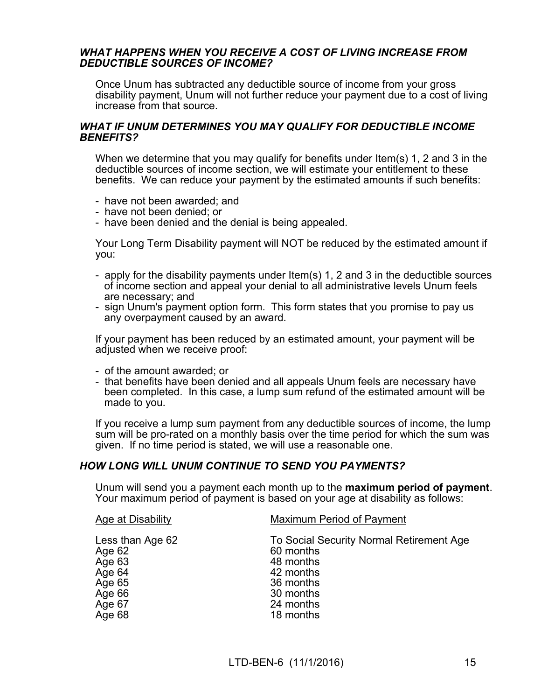#### *WHAT HAPPENS WHEN YOU RECEIVE A COST OF LIVING INCREASE FROM DEDUCTIBLE SOURCES OF INCOME?*

Once Unum has subtracted any deductible source of income from your gross disability payment, Unum will not further reduce your payment due to a cost of living increase from that source.

#### *WHAT IF UNUM DETERMINES YOU MAY QUALIFY FOR DEDUCTIBLE INCOME BENEFITS?*

When we determine that you may qualify for benefits under Item(s) [1](#page-14-0), [2](#page-14-1) and [3](#page-14-2) in the deductible sources of income section, we will estimate your entitlement to these benefits. We can reduce your payment by the estimated amounts if such benefits:

- have not been awarded; and
- have not been denied; or
- have been denied and the denial is being appealed.

Your Long Term Disability payment will NOT be reduced by the estimated amount if you:

- apply for the disability payments under Item(s) [1](#page-14-0), [2](#page-14-1) and [3](#page-14-2) in the deductible sources of income section and appeal your denial to all administrative levels Unum feels are necessary; and
- sign Unum's payment option form. This form states that you promise to pay us any overpayment caused by an award.

If your payment has been reduced by an estimated amount, your payment will be adjusted when we receive proof:

- of the amount awarded; or
- that benefits have been denied and all appeals Unum feels are necessary have been completed. In this case, a lump sum refund of the estimated amount will be made to you.

If you receive a lump sum payment from any deductible sources of income, the lump sum will be pro-rated on a monthly basis over the time period for which the sum was given. If no time period is stated, we will use a reasonable one.

#### *HOW LONG WILL UNUM CONTINUE TO SEND YOU PAYMENTS?*

Unum will send you a payment each month up to the **maximum period of payment**. Your maximum period of payment is based on your age at disability as follows:

| <b>Age at Disability</b>                                           | Maximum Period of Payment                                                                                 |
|--------------------------------------------------------------------|-----------------------------------------------------------------------------------------------------------|
| Less than Age 62<br>Age 62<br>Age 63<br>Age 64<br>Age 65<br>Age 66 | To Social Security Normal Retirement Age<br>60 months<br>48 months<br>42 months<br>36 months<br>30 months |
| Age 67                                                             | 24 months                                                                                                 |
| Age 68                                                             | 18 months                                                                                                 |
|                                                                    |                                                                                                           |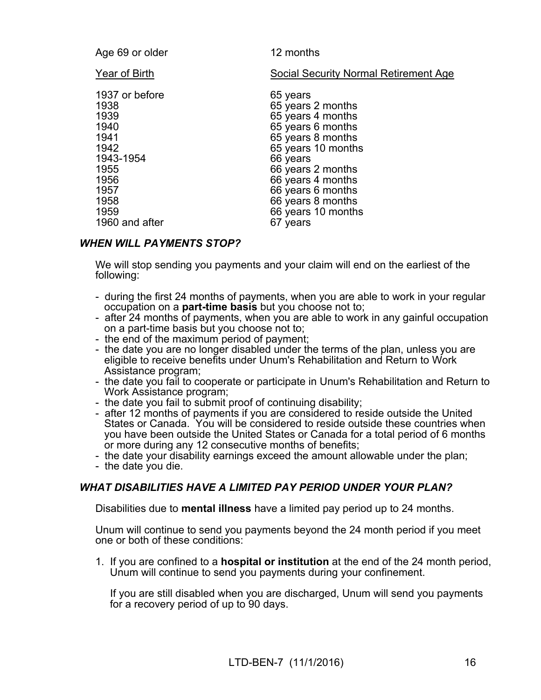| Age 69 or older                                                                                                               | 12 months                                                                                                                                                                                                                                            |
|-------------------------------------------------------------------------------------------------------------------------------|------------------------------------------------------------------------------------------------------------------------------------------------------------------------------------------------------------------------------------------------------|
| Year of Birth                                                                                                                 | <b>Social Security Normal Retirement Age</b>                                                                                                                                                                                                         |
| 1937 or before<br>1938<br>1939<br>1940<br>1941<br>1942<br>1943-1954<br>1955<br>1956<br>1957<br>1958<br>1959<br>1960 and after | 65 years<br>65 years 2 months<br>65 years 4 months<br>65 years 6 months<br>65 years 8 months<br>65 years 10 months<br>66 years<br>66 years 2 months<br>66 years 4 months<br>66 years 6 months<br>66 years 8 months<br>66 years 10 months<br>67 years |

### *WHEN WILL PAYMENTS STOP?*

We will stop sending you payments and your claim will end on the earliest of the following:

- during the first 24 months of payments, when you are able to work in your regular occupation on a **part-time basis** but you choose not to;
- after 24 months of payments, when you are able to work in any gainful occupation on a part-time basis but you choose not to;
- the end of the maximum period of payment;
- the date you are no longer disabled under the terms of the plan, unless you are eligible to receive benefits under Unum's Rehabilitation and Return to Work Assistance program;
- the date you fail to cooperate or participate in Unum's Rehabilitation and Return to Work Assistance program;
- the date you fail to submit proof of continuing disability;
- after 12 months of payments if you are considered to reside outside the United States or Canada. You will be considered to reside outside these countries when you have been outside the United States or Canada for a total period of 6 months or more during any 12 consecutive months of benefits;
- the date your disability earnings exceed the amount allowable under the plan;
- the date you die.

#### *WHAT DISABILITIES HAVE A LIMITED PAY PERIOD UNDER YOUR PLAN?*

Disabilities due to **mental illness** have a limited pay period up to 24 months.

Unum will continue to send you payments beyond the 24 month period if you meet one or both of these conditions:

1. If you are confined to a **hospital or institution** at the end of the 24 month period, Unum will continue to send you payments during your confinement.

 If you are still disabled when you are discharged, Unum will send you payments for a recovery period of up to 90 days.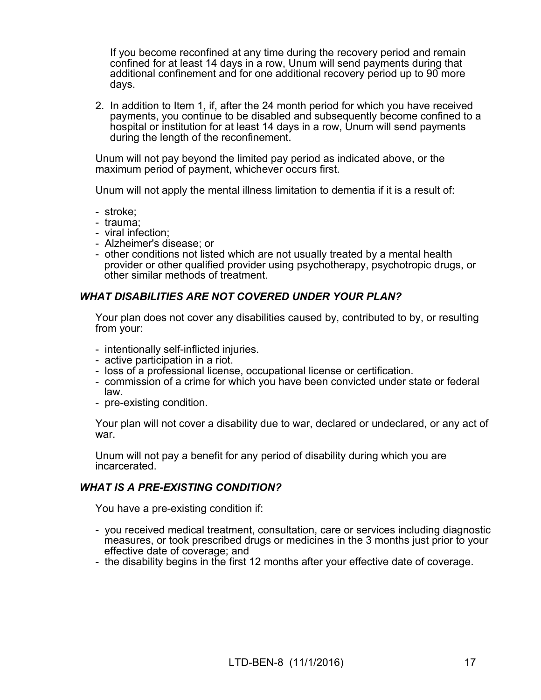If you become reconfined at any time during the recovery period and remain confined for at least 14 days in a row, Unum will send payments during that additional confinement and for one additional recovery period up to 90 more days.

2. In addition to Item 1, if, after the 24 month period for which you have received payments, you continue to be disabled and subsequently become confined to a hospital or institution for at least 14 days in a row, Unum will send payments during the length of the reconfinement.

Unum will not pay beyond the limited pay period as indicated above, or the maximum period of payment, whichever occurs first.

Unum will not apply the mental illness limitation to dementia if it is a result of:

- stroke;
- trauma;
- viral infection;
- Alzheimer's disease; or
- other conditions not listed which are not usually treated by a mental health provider or other qualified provider using psychotherapy, psychotropic drugs, or other similar methods of treatment.

### *WHAT DISABILITIES ARE NOT COVERED UNDER YOUR PLAN?*

Your plan does not cover any disabilities caused by, contributed to by, or resulting from your:

- intentionally self-inflicted injuries.
- active participation in a riot.
- loss of a professional license, occupational license or certification.
- commission of a crime for which you have been convicted under state or federal law.
- pre-existing condition.

Your plan will not cover a disability due to war, declared or undeclared, or any act of war.

Unum will not pay a benefit for any period of disability during which you are incarcerated.

#### *WHAT IS A PRE-EXISTING CONDITION?*

You have a pre-existing condition if:

- you received medical treatment, consultation, care or services including diagnostic measures, or took prescribed drugs or medicines in the 3 months just prior to your effective date of coverage; and
- the disability begins in the first 12 months after your effective date of coverage.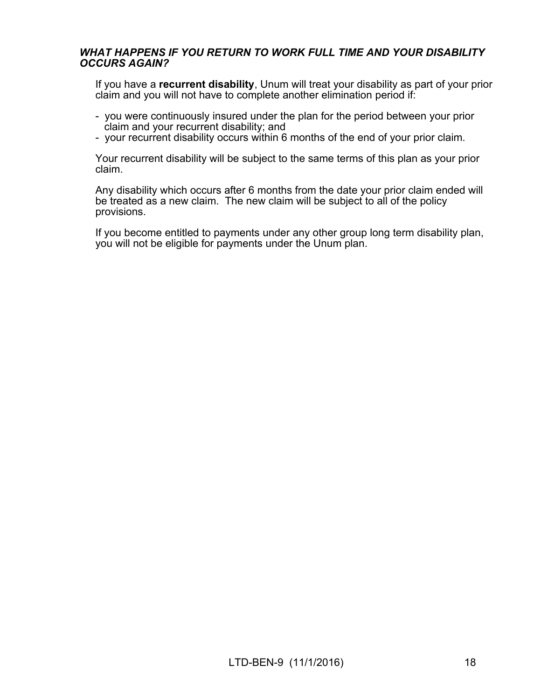#### *WHAT HAPPENS IF YOU RETURN TO WORK FULL TIME AND YOUR DISABILITY OCCURS AGAIN?*

If you have a **recurrent disability**, Unum will treat your disability as part of your prior claim and you will not have to complete another elimination period if:

- you were continuously insured under the plan for the period between your prior claim and your recurrent disability; and
- your recurrent disability occurs within 6 months of the end of your prior claim.

Your recurrent disability will be subject to the same terms of this plan as your prior claim.

Any disability which occurs after 6 months from the date your prior claim ended will be treated as a new claim. The new claim will be subject to all of the policy provisions.

If you become entitled to payments under any other group long term disability plan, you will not be eligible for payments under the Unum plan.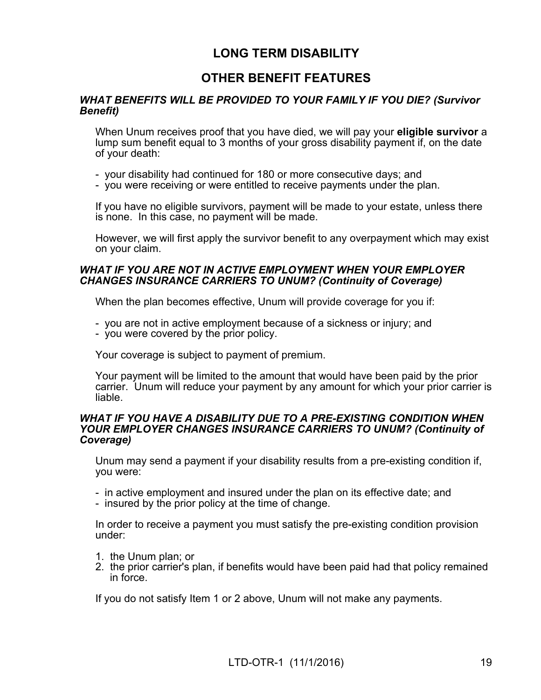## **LONG TERM DISABILITY**

## **OTHER BENEFIT FEATURES**

#### *WHAT BENEFITS WILL BE PROVIDED TO YOUR FAMILY IF YOU DIE? (Survivor Benefit)*

When Unum receives proof that you have died, we will pay your **eligible survivor** a lump sum benefit equal to 3 months of your gross disability payment if, on the date of your death:

- your disability had continued for 180 or more consecutive days; and
- you were receiving or were entitled to receive payments under the plan.

If you have no eligible survivors, payment will be made to your estate, unless there is none. In this case, no payment will be made.

However, we will first apply the survivor benefit to any overpayment which may exist on your claim.

#### *WHAT IF YOU ARE NOT IN ACTIVE EMPLOYMENT WHEN YOUR EMPLOYER CHANGES INSURANCE CARRIERS TO UNUM? (Continuity of Coverage)*

When the plan becomes effective, Unum will provide coverage for you if:

- you are not in active employment because of a sickness or injury; and
- you were covered by the prior policy.

Your coverage is subject to payment of premium.

Your payment will be limited to the amount that would have been paid by the prior carrier. Unum will reduce your payment by any amount for which your prior carrier is liable.

#### *WHAT IF YOU HAVE A DISABILITY DUE TO A PRE-EXISTING CONDITION WHEN YOUR EMPLOYER CHANGES INSURANCE CARRIERS TO UNUM? (Continuity of Coverage)*

Unum may send a payment if your disability results from a pre-existing condition if, you were:

- in active employment and insured under the plan on its effective date; and
- insured by the prior policy at the time of change.

In order to receive a payment you must satisfy the pre-existing condition provision under:

- 1. the Unum plan; or
- 2. the prior carrier's plan, if benefits would have been paid had that policy remained in force.

If you do not satisfy Item 1 or 2 above, Unum will not make any payments.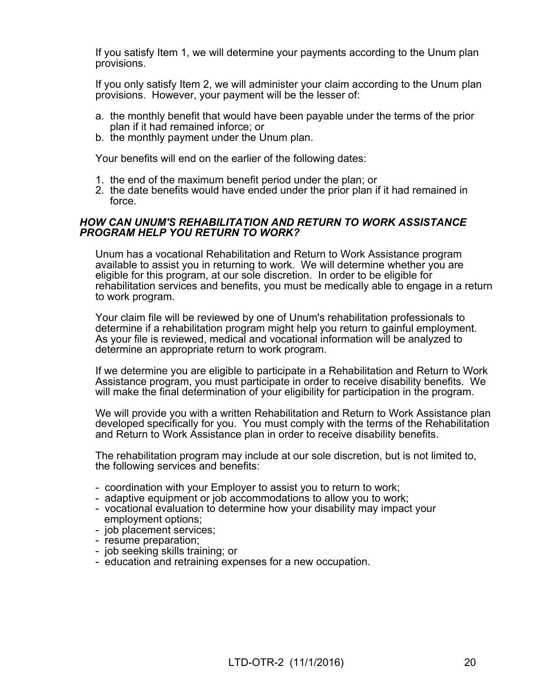If you satisfy Item 1, we will determine your payments according to the Unum plan provisions.

If you only satisfy Item 2, we will administer your claim according to the Unum plan provisions. However, your payment will be the lesser of:

- a. the monthly benefit that would have been payable under the terms of the prior plan if it had remained inforce; or
- b. the monthly payment under the Unum plan.

Your benefits will end on the earlier of the following dates:

- 1. the end of the maximum benefit period under the plan; or
- 2. the date benefits would have ended under the prior plan if it had remained in force.

#### *HOW CAN UNUM'S REHABILITATION AND RETURN TO WORK ASSISTANCE PROGRAM HELP YOU RETURN TO WORK?*

Unum has a vocational Rehabilitation and Return to Work Assistance program available to assist you in returning to work. We will determine whether you are eligible for this program, at our sole discretion. In order to be eligible for rehabilitation services and benefits, you must be medically able to engage in a return to work program.

Your claim file will be reviewed by one of Unum's rehabilitation professionals to determine if a rehabilitation program might help you return to gainful employment. As your file is reviewed, medical and vocational information will be analyzed to determine an appropriate return to work program.

If we determine you are eligible to participate in a Rehabilitation and Return to Work Assistance program, you must participate in order to receive disability benefits. We will make the final determination of your eligibility for participation in the program.

We will provide you with a written Rehabilitation and Return to Work Assistance plan developed specifically for you. You must comply with the terms of the Rehabilitation and Return to Work Assistance plan in order to receive disability benefits.

The rehabilitation program may include at our sole discretion, but is not limited to, the following services and benefits:

- coordination with your Employer to assist you to return to work;
- adaptive equipment or job accommodations to allow you to work;
- vocational evaluation to determine how your disability may impact your employment options;
- job placement services;
- resume preparation;
- job seeking skills training; or
- education and retraining expenses for a new occupation.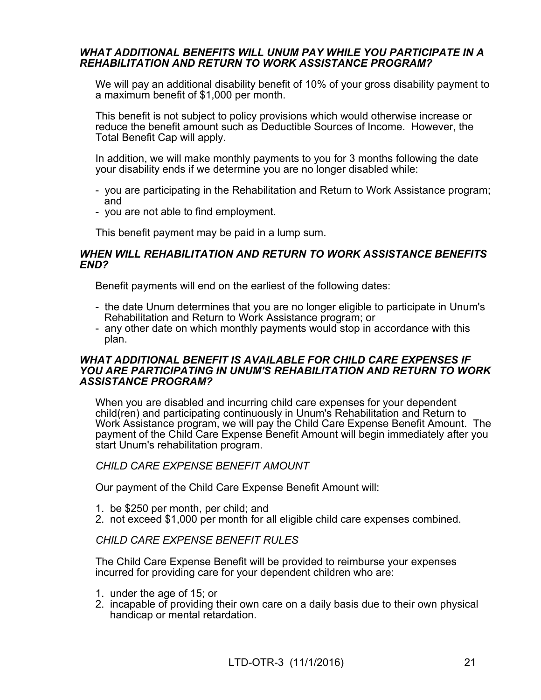#### *WHAT ADDITIONAL BENEFITS WILL UNUM PAY WHILE YOU PARTICIPATE IN A REHABILITATION AND RETURN TO WORK ASSISTANCE PROGRAM?*

We will pay an additional disability benefit of 10% of your gross disability payment to a maximum benefit of \$1,000 per month.

This benefit is not subject to policy provisions which would otherwise increase or reduce the benefit amount such as Deductible Sources of Income. However, the Total Benefit Cap will apply.

In addition, we will make monthly payments to you for 3 months following the date your disability ends if we determine you are no longer disabled while:

- you are participating in the Rehabilitation and Return to Work Assistance program; and
- you are not able to find employment.

This benefit payment may be paid in a lump sum.

#### *WHEN WILL REHABILITATION AND RETURN TO WORK ASSISTANCE BENEFITS END?*

Benefit payments will end on the earliest of the following dates:

- the date Unum determines that you are no longer eligible to participate in Unum's Rehabilitation and Return to Work Assistance program; or
- any other date on which monthly payments would stop in accordance with this plan.

#### *WHAT ADDITIONAL BENEFIT IS AVAILABLE FOR CHILD CARE EXPENSES IF YOU ARE PARTICIPATING IN UNUM'S REHABILITATION AND RETURN TO WORK ASSISTANCE PROGRAM?*

When you are disabled and incurring child care expenses for your dependent child(ren) and participating continuously in Unum's Rehabilitation and Return to Work Assistance program, we will pay the Child Care Expense Benefit Amount. The payment of the Child Care Expense Benefit Amount will begin immediately after you start Unum's rehabilitation program.

#### *CHILD CARE EXPENSE BENEFIT AMOUNT*

Our payment of the Child Care Expense Benefit Amount will:

- 1. be \$250 per month, per child; and
- 2. not exceed \$1,000 per month for all eligible child care expenses combined.

#### *CHILD CARE EXPENSE BENEFIT RULES*

The Child Care Expense Benefit will be provided to reimburse your expenses incurred for providing care for your dependent children who are:

- 1. under the age of 15; or
- 2. incapable of providing their own care on a daily basis due to their own physical handicap or mental retardation.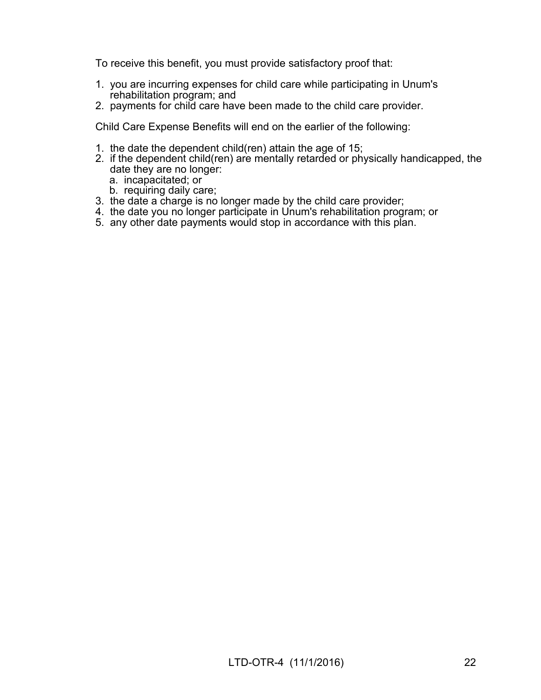To receive this benefit, you must provide satisfactory proof that:

- 1. you are incurring expenses for child care while participating in Unum's rehabilitation program; and
- 2. payments for child care have been made to the child care provider.

Child Care Expense Benefits will end on the earlier of the following:

- 1. the date the dependent child(ren) attain the age of 15;
- 2. if the dependent child(ren) are mentally retarded or physically handicapped, the date they are no longer:
	- a. incapacitated; or
	- b. requiring daily care;
- 3. the date a charge is no longer made by the child care provider;
- 4. the date you no longer participate in Unum's rehabilitation program; or
- 5. any other date payments would stop in accordance with this plan.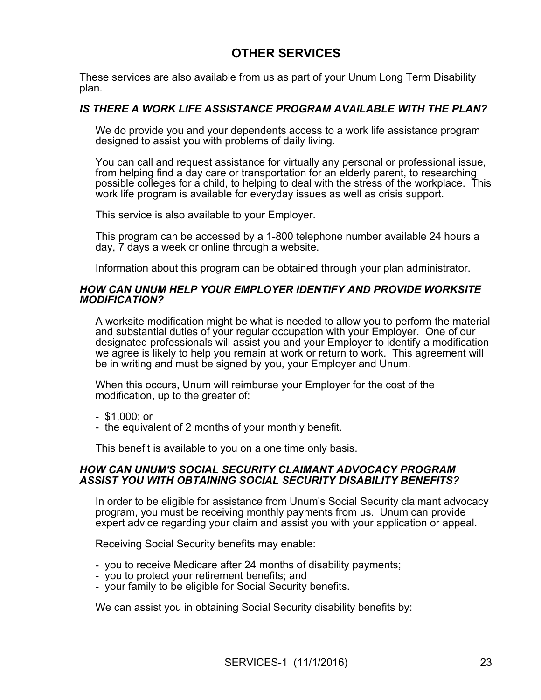## **OTHER SERVICES**

These services are also available from us as part of your Unum Long Term Disability plan.

#### *IS THERE A WORK LIFE ASSISTANCE PROGRAM AVAILABLE WITH THE PLAN?*

We do provide you and your dependents access to a work life assistance program designed to assist you with problems of daily living.

You can call and request assistance for virtually any personal or professional issue, from helping find a day care or transportation for an elderly parent, to researching possible colleges for a child, to helping to deal with the stress of the workplace. This work life program is available for everyday issues as well as crisis support.

This service is also available to your Employer.

This program can be accessed by a 1-800 telephone number available 24 hours a day, 7 days a week or online through a website.

Information about this program can be obtained through your plan administrator.

#### *HOW CAN UNUM HELP YOUR EMPLOYER IDENTIFY AND PROVIDE WORKSITE MODIFICATION?*

A worksite modification might be what is needed to allow you to perform the material and substantial duties of your regular occupation with your Employer. One of our designated professionals will assist you and your Employer to identify a modification we agree is likely to help you remain at work or return to work. This agreement will be in writing and must be signed by you, your Employer and Unum.

When this occurs, Unum will reimburse your Employer for the cost of the modification, up to the greater of:

- \$1,000; or

- the equivalent of 2 months of your monthly benefit.

This benefit is available to you on a one time only basis.

#### *HOW CAN UNUM'S SOCIAL SECURITY CLAIMANT ADVOCACY PROGRAM ASSIST YOU WITH OBTAINING SOCIAL SECURITY DISABILITY BENEFITS?*

In order to be eligible for assistance from Unum's Social Security claimant advocacy program, you must be receiving monthly payments from us. Unum can provide expert advice regarding your claim and assist you with your application or appeal.

Receiving Social Security benefits may enable:

- you to receive Medicare after 24 months of disability payments;
- you to protect your retirement benefits; and
- your family to be eligible for Social Security benefits.

We can assist you in obtaining Social Security disability benefits by: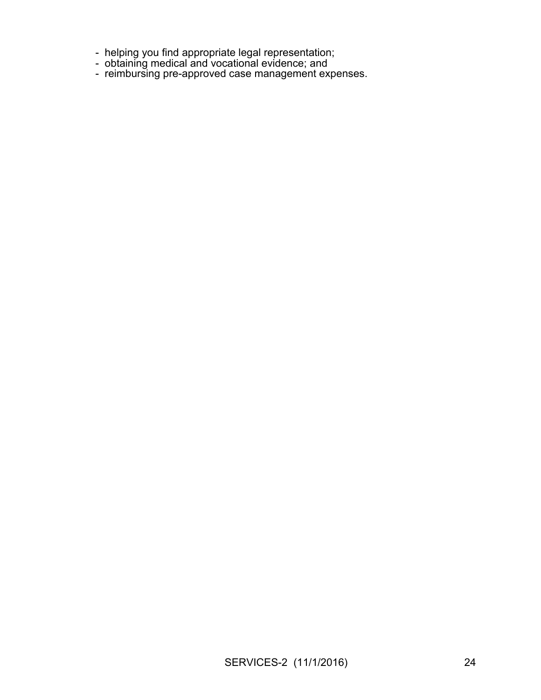- helping you find appropriate legal representation;
- obtaining medical and vocational evidence; and
- reimbursing pre-approved case management expenses.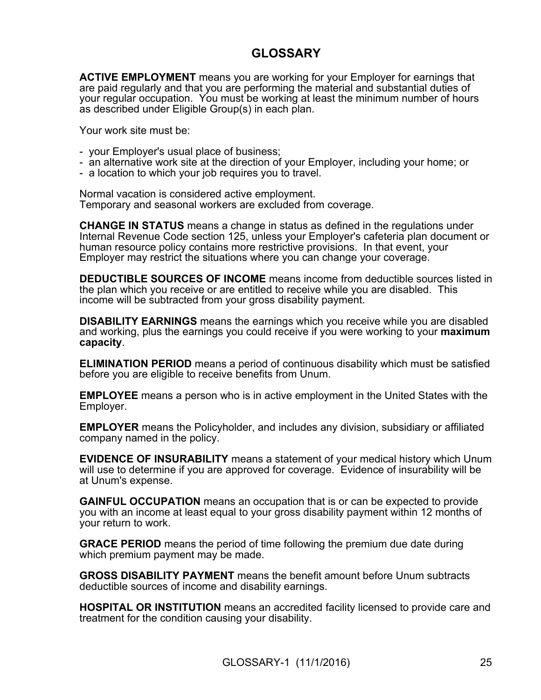## **GLOSSARY**

**ACTIVE EMPLOYMENT** means you are working for your Employer for earnings that are paid regularly and that you are performing the material and substantial duties of your regular occupation. You must be working at least the minimum number of hours as described under Eligible Group(s) in each plan.

Your work site must be:

- your Employer's usual place of business;
- an alternative work site at the direction of your Employer, including your home; or
- a location to which your job requires you to travel.

Normal vacation is considered active employment. Temporary and seasonal workers are excluded from coverage.

**CHANGE IN STATUS** means a change in status as defined in the regulations under Internal Revenue Code section 125, unless your Employer's cafeteria plan document or human resource policy contains more restrictive provisions. In that event, your Employer may restrict the situations where you can change your coverage.

**DEDUCTIBLE SOURCES OF INCOME** means income from deductible sources listed in the plan which you receive or are entitled to receive while you are disabled. This income will be subtracted from your gross disability payment.

**DISABILITY EARNINGS** means the earnings which you receive while you are disabled and working, plus the earnings you could receive if you were working to your **maximum capacity**.

**ELIMINATION PERIOD** means a period of continuous disability which must be satisfied before you are eligible to receive benefits from Unum.

**EMPLOYEE** means a person who is in active employment in the United States with the Employer.

**EMPLOYER** means the Policyholder, and includes any division, subsidiary or affiliated company named in the policy.

**EVIDENCE OF INSURABILITY** means a statement of your medical history which Unum will use to determine if you are approved for coverage. Evidence of insurability will be at Unum's expense.

**GAINFUL OCCUPATION** means an occupation that is or can be expected to provide you with an income at least equal to your gross disability payment within 12 months of your return to work.

**GRACE PERIOD** means the period of time following the premium due date during which premium payment may be made.

**GROSS DISABILITY PAYMENT** means the benefit amount before Unum subtracts deductible sources of income and disability earnings.

**HOSPITAL OR INSTITUTION** means an accredited facility licensed to provide care and treatment for the condition causing your disability.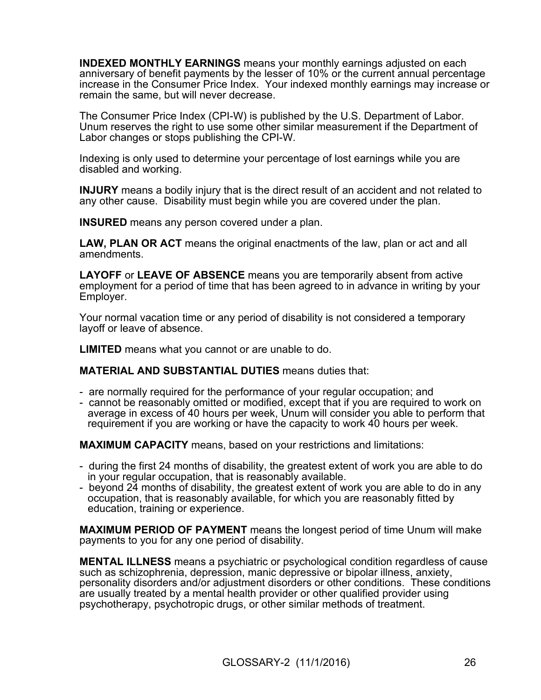**INDEXED MONTHLY EARNINGS** means your monthly earnings adjusted on each anniversary of benefit payments by the lesser of 10% or the current annual percentage increase in the Consumer Price Index. Your indexed monthly earnings may increase or remain the same, but will never decrease.

The Consumer Price Index (CPI-W) is published by the U.S. Department of Labor. Unum reserves the right to use some other similar measurement if the Department of Labor changes or stops publishing the CPI-W.

Indexing is only used to determine your percentage of lost earnings while you are disabled and working.

**INJURY** means a bodily injury that is the direct result of an accident and not related to any other cause. Disability must begin while you are covered under the plan.

**INSURED** means any person covered under a plan.

**LAW, PLAN OR ACT** means the original enactments of the law, plan or act and all amendments.

**LAYOFF** or **LEAVE OF ABSENCE** means you are temporarily absent from active employment for a period of time that has been agreed to in advance in writing by your Employer.

Your normal vacation time or any period of disability is not considered a temporary layoff or leave of absence.

**LIMITED** means what you cannot or are unable to do.

**MATERIAL AND SUBSTANTIAL DUTIES** means duties that:

- are normally required for the performance of your regular occupation; and
- cannot be reasonably omitted or modified, except that if you are required to work on average in excess of 40 hours per week, Unum will consider you able to perform that requirement if you are working or have the capacity to work 40 hours per week.

**MAXIMUM CAPACITY** means, based on your restrictions and limitations:

- during the first 24 months of disability, the greatest extent of work you are able to do in your regular occupation, that is reasonably available.
- beyond 24 months of disability, the greatest extent of work you are able to do in any occupation, that is reasonably available, for which you are reasonably fitted by education, training or experience.

**MAXIMUM PERIOD OF PAYMENT** means the longest period of time Unum will make payments to you for any one period of disability.

**MENTAL ILLNESS** means a psychiatric or psychological condition regardless of cause such as schizophrenia, depression, manic depressive or bipolar illness, anxiety, personality disorders and/or adjustment disorders or other conditions. These conditions are usually treated by a mental health provider or other qualified provider using psychotherapy, psychotropic drugs, or other similar methods of treatment.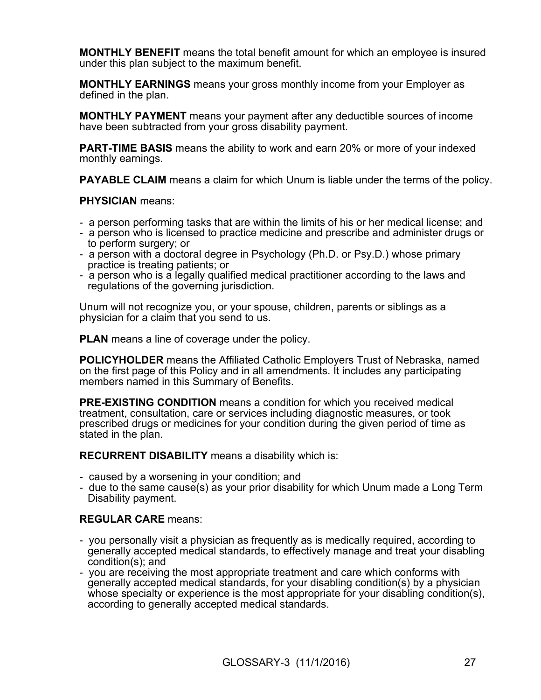**MONTHLY BENEFIT** means the total benefit amount for which an employee is insured under this plan subject to the maximum benefit.

**MONTHLY EARNINGS** means your gross monthly income from your Employer as defined in the plan.

**MONTHLY PAYMENT** means your payment after any deductible sources of income have been subtracted from your gross disability payment.

**PART-TIME BASIS** means the ability to work and earn 20% or more of your indexed monthly earnings.

**PAYABLE CLAIM** means a claim for which Unum is liable under the terms of the policy.

#### **PHYSICIAN** means:

- a person performing tasks that are within the limits of his or her medical license; and
- a person who is licensed to practice medicine and prescribe and administer drugs or to perform surgery; or
- a person with a doctoral degree in Psychology (Ph.D. or Psy.D.) whose primary practice is treating patients; or
- a person who is a legally qualified medical practitioner according to the laws and regulations of the governing jurisdiction.

Unum will not recognize you, or your spouse, children, parents or siblings as a physician for a claim that you send to us.

**PLAN** means a line of coverage under the policy.

**POLICYHOLDER** means the Affiliated Catholic Employers Trust of Nebraska, named on the first page of this Policy and in all amendments. It includes any participating members named in this Summary of Benefits.

**PRE-EXISTING CONDITION** means a condition for which you received medical treatment, consultation, care or services including diagnostic measures, or took prescribed drugs or medicines for your condition during the given period of time as stated in the plan.

**RECURRENT DISABILITY** means a disability which is:

- caused by a worsening in your condition; and
- due to the same cause(s) as your prior disability for which Unum made a Long Term Disability payment.

#### **REGULAR CARE** means:

- you personally visit a physician as frequently as is medically required, according to generally accepted medical standards, to effectively manage and treat your disabling condition(s); and
- you are receiving the most appropriate treatment and care which conforms with generally accepted medical standards, for your disabling condition(s) by a physician whose specialty or experience is the most appropriate for your disabling condition(s), according to generally accepted medical standards.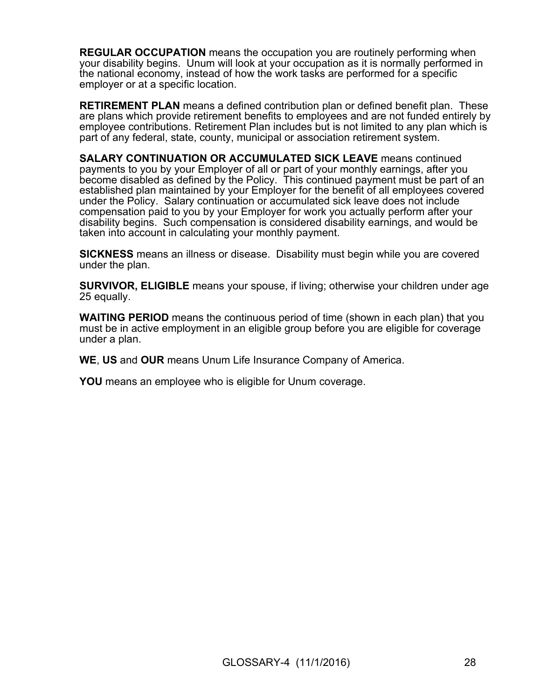**REGULAR OCCUPATION** means the occupation you are routinely performing when your disability begins. Unum will look at your occupation as it is normally performed in the national economy, instead of how the work tasks are performed for a specific employer or at a specific location.

**RETIREMENT PLAN** means a defined contribution plan or defined benefit plan. These are plans which provide retirement benefits to employees and are not funded entirely by employee contributions. Retirement Plan includes but is not limited to any plan which is part of any federal, state, county, municipal or association retirement system.

**SALARY CONTINUATION OR ACCUMULATED SICK LEAVE** means continued payments to you by your Employer of all or part of your monthly earnings, after you become disabled as defined by the Policy. This continued payment must be part of an established plan maintained by your Employer for the benefit of all employees covered under the Policy. Salary continuation or accumulated sick leave does not include compensation paid to you by your Employer for work you actually perform after your disability begins. Such compensation is considered disability earnings, and would be taken into account in calculating your monthly payment.

**SICKNESS** means an illness or disease. Disability must begin while you are covered under the plan.

**SURVIVOR, ELIGIBLE** means your spouse, if living; otherwise your children under age 25 equally.

**WAITING PERIOD** means the continuous period of time (shown in each plan) that you must be in active employment in an eligible group before you are eligible for coverage under a plan.

**WE**, **US** and **OUR** means Unum Life Insurance Company of America.

**YOU** means an employee who is eligible for Unum coverage.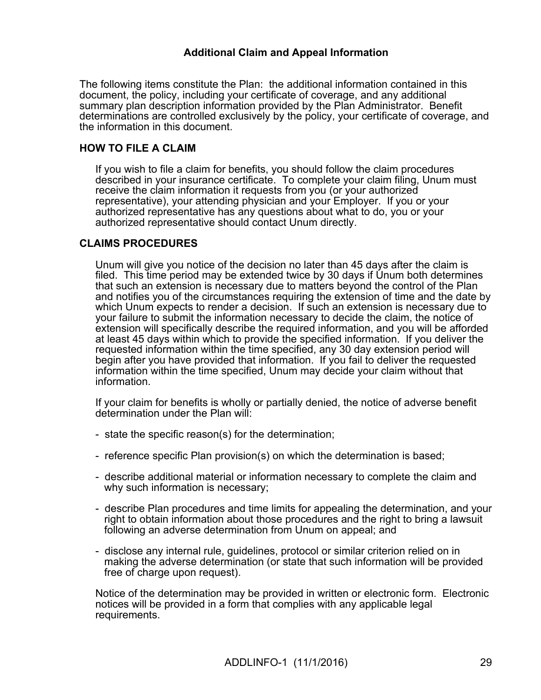### **Additional Claim and Appeal Information**

The following items constitute the Plan: the additional information contained in this document, the policy, including your certificate of coverage, and any additional summary plan description information provided by the Plan Administrator. Benefit determinations are controlled exclusively by the policy, your certificate of coverage, and the information in this document.

### **HOW TO FILE A CLAIM**

If you wish to file a claim for benefits, you should follow the claim procedures described in your insurance certificate. To complete your claim filing, Unum must receive the claim information it requests from you (or your authorized representative), your attending physician and your Employer. If you or your authorized representative has any questions about what to do, you or your authorized representative should contact Unum directly.

### **CLAIMS PROCEDURES**

Unum will give you notice of the decision no later than 45 days after the claim is filed. This time period may be extended twice by 30 days if Unum both determines that such an extension is necessary due to matters beyond the control of the Plan and notifies you of the circumstances requiring the extension of time and the date by which Unum expects to render a decision. If such an extension is necessary due to your failure to submit the information necessary to decide the claim, the notice of extension will specifically describe the required information, and you will be afforded at least 45 days within which to provide the specified information. If you deliver the requested information within the time specified, any 30 day extension period will begin after you have provided that information. If you fail to deliver the requested information within the time specified, Unum may decide your claim without that information.

If your claim for benefits is wholly or partially denied, the notice of adverse benefit determination under the Plan will:

- state the specific reason(s) for the determination;
- reference specific Plan provision(s) on which the determination is based;
- describe additional material or information necessary to complete the claim and why such information is necessary;
- describe Plan procedures and time limits for appealing the determination, and your right to obtain information about those procedures and the right to bring a lawsuit following an adverse determination from Unum on appeal; and
- disclose any internal rule, guidelines, protocol or similar criterion relied on in making the adverse determination (or state that such information will be provided free of charge upon request).

Notice of the determination may be provided in written or electronic form. Electronic notices will be provided in a form that complies with any applicable legal requirements.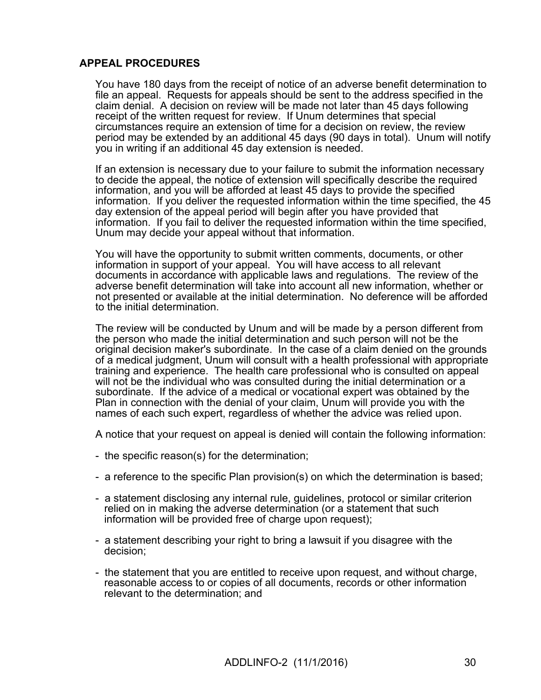### **APPEAL PROCEDURES**

You have 180 days from the receipt of notice of an adverse benefit determination to file an appeal. Requests for appeals should be sent to the address specified in the claim denial. A decision on review will be made not later than 45 days following receipt of the written request for review. If Unum determines that special circumstances require an extension of time for a decision on review, the review period may be extended by an additional 45 days (90 days in total). Unum will notify you in writing if an additional 45 day extension is needed.

If an extension is necessary due to your failure to submit the information necessary to decide the appeal, the notice of extension will specifically describe the required information, and you will be afforded at least 45 days to provide the specified information. If you deliver the requested information within the time specified, the 45 day extension of the appeal period will begin after you have provided that information. If you fail to deliver the requested information within the time specified, Unum may decide your appeal without that information.

You will have the opportunity to submit written comments, documents, or other information in support of your appeal. You will have access to all relevant documents in accordance with applicable laws and regulations. The review of the adverse benefit determination will take into account all new information, whether or not presented or available at the initial determination. No deference will be afforded to the initial determination.

The review will be conducted by Unum and will be made by a person different from the person who made the initial determination and such person will not be the original decision maker's subordinate. In the case of a claim denied on the grounds of a medical judgment, Unum will consult with a health professional with appropriate training and experience. The health care professional who is consulted on appeal will not be the individual who was consulted during the initial determination or a subordinate. If the advice of a medical or vocational expert was obtained by the Plan in connection with the denial of your claim, Unum will provide you with the names of each such expert, regardless of whether the advice was relied upon.

A notice that your request on appeal is denied will contain the following information:

- the specific reason(s) for the determination;
- a reference to the specific Plan provision(s) on which the determination is based;
- a statement disclosing any internal rule, guidelines, protocol or similar criterion relied on in making the adverse determination (or a statement that such information will be provided free of charge upon request);
- a statement describing your right to bring a lawsuit if you disagree with the decision;
- the statement that you are entitled to receive upon request, and without charge, reasonable access to or copies of all documents, records or other information relevant to the determination; and